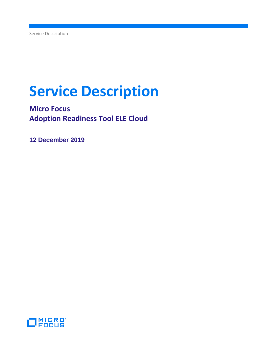# **Service Description**

**Micro Focus Adoption Readiness Tool ELE Cloud**

**12 December 2019**

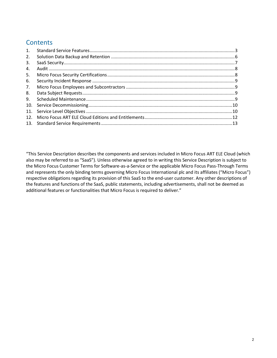## **Contents**

| 1.              |  |
|-----------------|--|
| 2.              |  |
| 3.              |  |
| 4.              |  |
| 5.              |  |
| 6.              |  |
| 7.              |  |
| 8.              |  |
| 9.              |  |
| 10.             |  |
|                 |  |
| 12 <sub>1</sub> |  |
|                 |  |
|                 |  |

"This Service Description describes the components and services included in Micro Focus ART ELE Cloud (which also may be referred to as "SaaS"). Unless otherwise agreed to in writing this Service Description is subject to the Micro Focus Customer Terms for Software-as-a-Service or the applicable Micro Focus Pass-Through Terms and represents the only binding terms governing Micro Focus International plc and its affiliates ("Micro Focus") respective obligations regarding its provision of this SaaS to the end-user customer. Any other descriptions of the features and functions of the SaaS, public statements, including advertisements, shall not be deemed as additional features or functionalities that Micro Focus is required to deliver."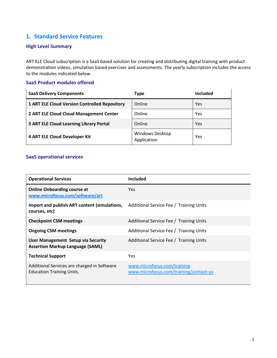## <span id="page-2-0"></span>**1. Standard Service Features**

## **High Level Summary**

ART ELE Cloud subscription is a SaaS based solution for creating and distributing digital training with product demonstration videos, simulation based exercises and assessments. The yearly subscription includes the access to the modules indicated below.

## **SaaS Product modules offered**

| <b>SaaS Delivery Components</b>                      | Type                           | Included |
|------------------------------------------------------|--------------------------------|----------|
| <b>1 ART ELE Cloud Version Controlled Repository</b> | Online                         | Yes      |
| 2 ART ELE Cloud Cloud Management Center              | Online                         | Yes      |
| <b>3 ART ELE Cloud Learning Library Portal</b>       | Online                         | Yes      |
| 4 ART ELE Cloud Developer Kit                        | Windows Desktop<br>Application | Yes      |

## **SaaS operational services**

| <b>Operational Services</b>                                                          | <b>Included</b>                                                       |
|--------------------------------------------------------------------------------------|-----------------------------------------------------------------------|
| <b>Online Onboarding course at</b><br>www.microfocus.com/software/art                | <b>Yes</b>                                                            |
| Import and publish ART content (simulations,<br>courses, etc)                        | Additional Service Fee / Training Units                               |
| <b>Checkpoint CSM meetings</b>                                                       | Additional Service Fee / Training Units                               |
| <b>Ongoing CSM meetings</b>                                                          | Additional Service Fee / Training Units                               |
| <b>User Management Setup via Security</b><br><b>Assertion Markup Language (SAML)</b> | Additional Service Fee / Training Units                               |
| <b>Technical Support</b>                                                             | <b>Yes</b>                                                            |
| Additional Services are charged in Software<br><b>Education Training Units.</b>      | www.microfocus.com/training<br>www.microfocus.com/training/contact-us |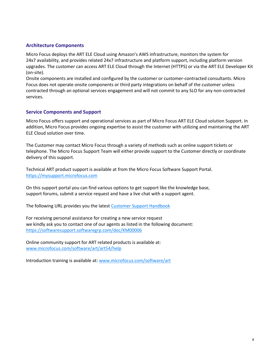## **Architecture Components**

Micro Focus deploys the ART ELE Cloud using Amazon's AWS infrastructure, monitors the system for 24x7 availability, and provides related 24x7 infrastructure and platform support, including platform version upgrades. The customer can access ART ELE Cloud through the Internet (HTTPS) or via the ART ELE Developer Kit (on-site).

Onsite components are installed and configured by the customer or customer-contracted consultants. Micro Focus does not operate onsite components or third party integrations on behalf of the customer unless contracted through an optional services engagement and will not commit to any SLO for any non-contracted services.

#### **Service Components and Support**

Micro Focus offers support and operational services as part of Micro Focus ART ELE Cloud solution Support. In addition, Micro Focus provides ongoing expertise to assist the customer with utilizing and maintaining the ART ELE Cloud solution over time.

The Customer may contact Micro Focus through a variety of methods such as online support tickets or telephone. The Micro Focus Support Team will either provide support to the Customer directly or coordinate delivery of this support.

Technical ART product support is available at from the Micro Focus Software Support Portal. [https://mysupport.microfocus.com](https://mysupport.microfocus.com/) 

On this support portal you can find various options to get support like the knowledge base, support forums, submit a service request and have a live chat with a support agent.

The following URL provides you the lates[t Customer Support Handbook](https://www.microfocus.com/media/guide/micro_focus_software_support_guide.pdf)

For receiving personal assistance for creating a new service request we kindly ask you to contact one of our agents as listed in the following document: <https://softwaresupport.softwaregrp.com/doc/KM00006>

Online community support for ART related products is available at: [www.microfocus.com/software/art/art54/help](http://www.microfocus.com/software/art/art54/help)

Introduction training is available at: [www.microfocus.com/software/art](http://www.microfocus.com/software/art)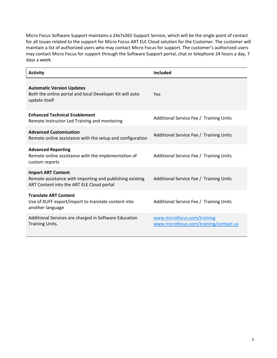Micro Focus Software Support maintains a 24x7x365 Support Service, which will be the single point of contact for all issues related to the support for Micro Focus ART ELE Cloud solution for the Customer. The customer will maintain a list of authorized users who may contact Micro Focus for support. The customer's authorized users may contact Micro Focus for support through the Software Support portal, chat or telephone 24 hours a day, 7 days a week.

| <b>Activity</b>                                                                                                                    | Included                                                              |
|------------------------------------------------------------------------------------------------------------------------------------|-----------------------------------------------------------------------|
| <b>Automatic Version Updates</b><br>Both the online portal and local Developer Kit will auto<br>update itself                      | Yes                                                                   |
| <b>Enhanced Technical Enablement</b><br>Remote Instructor Led Training and mentoring                                               | Additional Service Fee / Training Units                               |
| <b>Advanced Customization</b><br>Remote online assistance with the setup and configuration                                         | Additional Service Fee / Training Units                               |
| <b>Advanced Reporting</b><br>Remote online assistance with the implementation of<br>custom reports                                 | Additional Service Fee / Training Units                               |
| <b>Import ART Content</b><br>Remote assistance with importing and publishing existing<br>ART Content into the ART ELE Cloud portal | Additional Service Fee / Training Units                               |
| <b>Translate ART Content</b><br>Use of XLIFF export/import to translate content into<br>another language                           | Additional Service Fee / Training Units                               |
| Additional Services are charged in Software Education<br><b>Training Units.</b>                                                    | www.microfocus.com/training<br>www.microfocus.com/training/contact-us |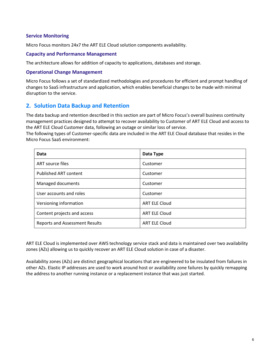## **Service Monitoring**

Micro Focus monitors 24x7 the ART ELE Cloud solution components availability.

#### **Capacity and Performance Management**

The architecture allows for addition of capacity to applications, databases and storage.

#### **Operational Change Management**

Micro Focus follows a set of standardized methodologies and procedures for efficient and prompt handling of changes to SaaS infrastructure and application, which enables beneficial changes to be made with minimal disruption to the service.

## <span id="page-5-0"></span>**2. Solution Data Backup and Retention**

The data backup and retention described in this section are part of Micro Focus's overall business continuity management practices designed to attempt to recover availability to Customer of ART ELE Cloud and access to the ART ELE Cloud Customer data, following an outage or similar loss of service.

The following types of Customer-specific data are included in the ART ELE Cloud database that resides in the Micro Focus SaaS environment:

| Data                                  | Data Type            |
|---------------------------------------|----------------------|
| ART source files                      | Customer             |
| <b>Published ART content</b>          | Customer             |
| Managed documents                     | Customer             |
| User accounts and roles               | Customer             |
| Versioning information                | <b>ART ELE Cloud</b> |
| Content projects and access           | <b>ART ELE Cloud</b> |
| <b>Reports and Assessment Results</b> | <b>ART ELE Cloud</b> |

ART ELE Cloud is implemented over AWS technology service stack and data is maintained over two availability zones (AZs) allowing us to quickly recover an ART ELE Cloud solution in case of a disaster.

Availability zones (AZs) are distinct geographical locations that are engineered to be insulated from failures in other AZs. Elastic IP addresses are used to work around host or availability zone failures by quickly remapping the address to another running instance or a replacement instance that was just started.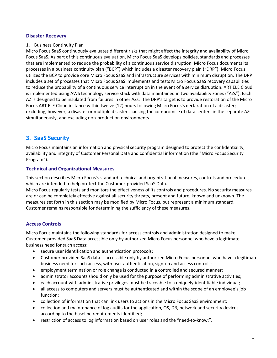#### **Disaster Recovery**

## 1. Business Continuity Plan

Micro Focus SaaS continuously evaluates different risks that might affect the integrity and availability of Micro Focus SaaS. As part of this continuous evaluation, Micro Focus SaaS develops policies, standards and processes that are implemented to reduce the probability of a continuous service disruption. Micro Focus documents its processes in a business continuity plan ("BCP") which includes a disaster recovery plain ("DRP"). Micro Focus utilizes the BCP to provide core Micro Focus SaaS and infrastructure services with minimum disruption. The DRP includes a set of processes that Micro Focus SaaS implements and tests Micro Focus SaaS recovery capabilities to reduce the probability of a continuous service interruption in the event of a service disruption. ART ELE Cloud is implemented using AWS technology service stack with data maintained in two availability zones ("AZs"). Each AZ is designed to be insulated from failures in other AZs. The DRP's target is to provide restoration of the Micro Focus ART ELE Cloud instance within twelve (12) hours following Micro Focus's declaration of a disaster; excluding, however, a disaster or multiple disasters causing the compromise of data centers in the separate AZs simultaneously, and excluding non-production environments.

## <span id="page-6-0"></span>**3. SaaS Security**

Micro Focus maintains an information and physical security program designed to protect the confidentiality, availability and integrity of Customer Personal Data and confidential information (the "Micro Focus Security Program").

## **Technical and Organizational Measures**

This section describes Micro Focus´s standard technical and organizational measures, controls and procedures, which are intended to help protect the Customer-provided SaaS Data.

Micro Focus regularly tests and monitors the effectiveness of its controls and procedures. No security measures are or can be completely effective against all security threats, present and future, known and unknown. The measures set forth in this section may be modified by Micro Focus, but represent a minimum standard. Customer remains responsible for determining the sufficiency of these measures.

## **Access Controls**

Micro Focus maintains the following standards for access controls and administration designed to make Customer-provided SaaS Data accessible only by authorized Micro Focus personnel who have a legitimate business need for such access:

- secure user identification and authentication protocols;
- Customer provided SaaS data is accessible only by authorized Micro Focus personnel who have a legitimate business need for such access, with user authentication, sign-on and access controls;
- employment termination or role change is conducted in a controlled and secured manner;
- administrator accounts should only be used for the purpose of performing administrative activities;
- each account with administrative privileges must be traceable to a uniquely-identifiable individual;
- all access to computers and servers must be authenticated and within the scope of an employee's job function;
- collection of information that can link users to actions in the Micro Focus SaaS environment;
- collection and maintenance of log audits for the application, OS, DB, network and security devices according to the baseline requirements identified;
- restriction of access to log information based on user roles and the "need-to-know;".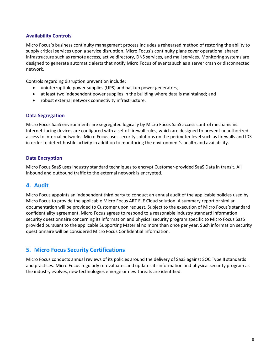## **Availability Controls**

Micro Focus´s business continuity management process includes a rehearsed method of restoring the ability to supply critical services upon a service disruption. Micro Focus's continuity plans cover operational shared infrastructure such as remote access, active directory, DNS services, and mail services. Monitoring systems are designed to generate automatic alerts that notify Micro Focus of events such as a server crash or disconnected network.

Controls regarding disruption prevention include:

- uninterruptible power supplies (UPS) and backup power generators;
- at least two independent power supplies in the building where data is maintained; and
- robust external network connectivity infrastructure.

#### **Data Segregation**

Micro Focus SaaS environments are segregated logically by Micro Focus SaaS access control mechanisms. Internet-facing devices are configured with a set of firewall rules, which are designed to prevent unauthorized access to internal networks. Micro Focus uses security solutions on the perimeter level such as firewalls and IDS in order to detect hostile activity in addition to monitoring the environment's health and availability.

## **Data Encryption**

Micro Focus SaaS uses industry standard techniques to encrypt Customer-provided SaaS Data in transit. All inbound and outbound traffic to the external network is encrypted.

## <span id="page-7-0"></span>**4. Audit**

Micro Focus appoints an independent third party to conduct an annual audit of the applicable policies used by Micro Focus to provide the applicable Micro Focus ART ELE Cloud solution. A summary report or similar documentation will be provided to Customer upon request. Subject to the execution of Micro Focus's standard confidentiality agreement, Micro Focus agrees to respond to a reasonable industry standard information security questionnaire concerning its information and physical security program specific to Micro Focus SaaS provided pursuant to the applicable Supporting Material no more than once per year. Such information security questionnaire will be considered Micro Focus Confidential Information.

## <span id="page-7-1"></span>**5. Micro Focus Security Certifications**

Micro Focus conducts annual reviews of its policies around the delivery of SaaS against SOC Type II standards and practices. Micro Focus regularly re-evaluates and updates its information and physical security program as the industry evolves, new technologies emerge or new threats are identified.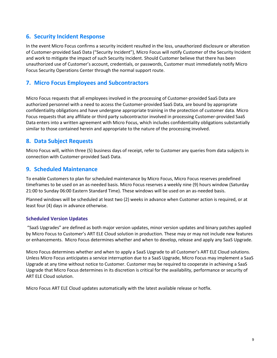## <span id="page-8-0"></span>**6. Security Incident Response**

In the event Micro Focus confirms a security incident resulted in the loss, unauthorized disclosure or alteration of Customer-provided SaaS Data ("Security Incident"), Micro Focus will notify Customer of the Security Incident and work to mitigate the impact of such Security Incident. Should Customer believe that there has been unauthorized use of Customer's account, credentials, or passwords, Customer must immediately notify Micro Focus Security Operations Center through the normal support route.

## <span id="page-8-1"></span>**7. Micro Focus Employees and Subcontractors**

Micro Focus requests that all employees involved in the processing of Customer-provided SaaS Data are authorized personnel with a need to access the Customer-provided SaaS Data, are bound by appropriate confidentiality obligations and have undergone appropriate training in the protection of customer data. Micro Focus requests that any affiliate or third party subcontractor involved in processing Customer-provided SaaS Data enters into a written agreement with Micro Focus, which includes confidentiality obligations substantially similar to those contained herein and appropriate to the nature of the processing involved.

## <span id="page-8-2"></span>**8. Data Subject Requests**

Micro Focus will, within three (5) business days of receipt, refer to Customer any queries from data subjects in connection with Customer-provided SaaS Data.

## <span id="page-8-3"></span>**9. Scheduled Maintenance**

To enable Customers to plan for scheduled maintenance by Micro Focus, Micro Focus reserves predefined timeframes to be used on an as-needed basis. Micro Focus reserves a weekly nine (9) hours window (Saturday 21:00 to Sunday 06:00 Eastern Standard Time). These windows will be used on an as-needed basis.

Planned windows will be scheduled at least two (2) weeks in advance when Customer action is required, or at least four (4) days in advance otherwise.

## **Scheduled Version Updates**

"SaaS Upgrades" are defined as both major version updates, minor version updates and binary patches applied by Micro Focus to Customer's ART ELE Cloud solution in production. These may or may not include new features or enhancements. Micro Focus determines whether and when to develop, release and apply any SaaS Upgrade.

Micro Focus determines whether and when to apply a SaaS Upgrade to all Customer's ART ELE Cloud solutions. Unless Micro Focus anticipates a service interruption due to a SaaS Upgrade, Micro Focus may implement a SaaS Upgrade at any time without notice to Customer. Customer may be required to cooperate in achieving a SaaS Upgrade that Micro Focus determines in its discretion is critical for the availability, performance or security of ART ELE Cloud solution.

Micro Focus ART ELE Cloud updates automatically with the latest available release or hotfix.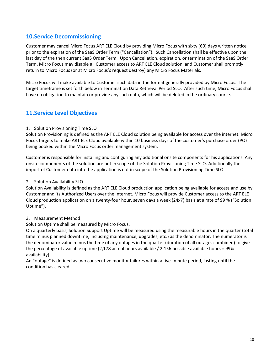## <span id="page-9-0"></span>**10.Service Decommissioning**

Customer may cancel Micro Focus ART ELE Cloud by providing Micro Focus with sixty (60) days written notice prior to the expiration of the SaaS Order Term ("Cancellation"). Such Cancellation shall be effective upon the last day of the then current SaaS Order Term. Upon Cancellation, expiration, or termination of the SaaS Order Term, Micro Focus may disable all Customer access to ART ELE Cloud solution, and Customer shall promptly return to Micro Focus (or at Micro Focus's request destroy) any Micro Focus Materials.

Micro Focus will make available to Customer such data in the format generally provided by Micro Focus. The target timeframe is set forth below in Termination Data Retrieval Period SLO. After such time, Micro Focus shall have no obligation to maintain or provide any such data, which will be deleted in the ordinary course.

## <span id="page-9-1"></span>**11.Service Level Objectives**

#### 1. Solution Provisioning Time SLO

Solution Provisioning is defined as the ART ELE Cloud solution being available for access over the internet. Micro Focus targets to make ART ELE Cloud available within 10 business days of the customer's purchase order (PO) being booked within the Micro Focus order management system.

Customer is responsible for installing and configuring any additional onsite components for his applications. Any onsite components of the solution are not in scope of the Solution Provisioning Time SLO. Additionally the import of Customer data into the application is not in scope of the Solution Provisioning Time SLO.

## 2. Solution Availability SLO

Solution Availability is defined as the ART ELE Cloud production application being available for access and use by Customer and its Authorized Users over the Internet. Micro Focus will provide Customer access to the ART ELE Cloud production application on a twenty-four hour, seven days a week (24x7) basis at a rate of 99 % ("Solution Uptime").

## 3. Measurement Method

Solution Uptime shall be measured by Micro Focus.

On a quarterly basis, Solution Support Uptime will be measured using the measurable hours in the quarter (total time minus planned downtime, including maintenance, upgrades, etc.) as the denominator. The numerator is the denominator value minus the time of any outages in the quarter (duration of all outages combined) to give the percentage of available uptime (2,178 actual hours available / 2,156 possible available hours = 99% availability).

An "outage" is defined as two consecutive monitor failures within a five-minute period, lasting until the condition has cleared.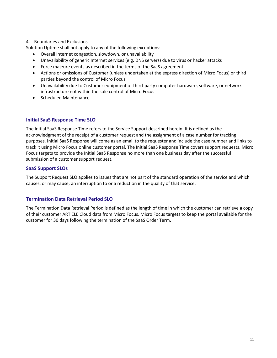#### 4. Boundaries and Exclusions

Solution Uptime shall not apply to any of the following exceptions:

- Overall Internet congestion, slowdown, or unavailability
- Unavailability of generic Internet services (e.g. DNS servers) due to virus or hacker attacks
- Force majeure events as described in the terms of the SaaS agreement
- Actions or omissions of Customer (unless undertaken at the express direction of Micro Focus) or third parties beyond the control of Micro Focus
- Unavailability due to Customer equipment or third-party computer hardware, software, or network infrastructure not within the sole control of Micro Focus
- Scheduled Maintenance

## **Initial SaaS Response Time SLO**

The Initial SaaS Response Time refers to the Service Support described herein. It is defined as the acknowledgment of the receipt of a customer request and the assignment of a case number for tracking purposes. Initial SaaS Response will come as an email to the requester and include the case number and links to track it using Micro Focus online customer portal. The Initial SaaS Response Time covers support requests. Micro Focus targets to provide the Initial SaaS Response no more than one business day after the successful submission of a customer support request.

#### **SaaS Support SLOs**

The Support Request SLO applies to issues that are not part of the standard operation of the service and which causes, or may cause, an interruption to or a reduction in the quality of that service.

## **Termination Data Retrieval Period SLO**

The Termination Data Retrieval Period is defined as the length of time in which the customer can retrieve a copy of their customer ART ELE Cloud data from Micro Focus. Micro Focus targets to keep the portal available for the customer for 30 days following the termination of the SaaS Order Term.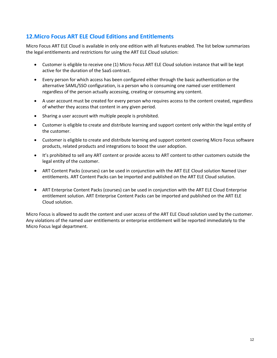## <span id="page-11-0"></span>**12.Micro Focus ART ELE Cloud Editions and Entitlements**

Micro Focus ART ELE Cloud is available in only one edition with all features enabled. The list below summarizes the legal entitlements and restrictions for using the ART ELE Cloud solution:

- Customer is eligible to receive one (1) Micro Focus ART ELE Cloud solution instance that will be kept active for the duration of the SaaS contract.
- Every person for which access has been configured either through the basic authentication or the alternative SAML/SSO configuration, is a person who is consuming one named user entitlement regardless of the person actually accessing, creating or consuming any content.
- A user account must be created for every person who requires access to the content created, regardless of whether they access that content in any given period.
- Sharing a user account with multiple people is prohibited.
- Customer is eligible to create and distribute learning and support content only within the legal entity of the customer.
- Customer is eligible to create and distribute learning and support content covering Micro Focus software products, related products and integrations to boost the user adoption.
- It's prohibited to sell any ART content or provide access to ART content to other customers outside the legal entity of the customer.
- ART Content Packs (courses) can be used in conjunction with the ART ELE Cloud solution Named User entitlements. ART Content Packs can be imported and published on the ART ELE Cloud solution.
- ART Enterprise Content Packs (courses) can be used in conjunction with the ART ELE Cloud Enterprise entitlement solution. ART Enterprise Content Packs can be imported and published on the ART ELE Cloud solution.

Micro Focus is allowed to audit the content and user access of the ART ELE Cloud solution used by the customer. Any violations of the named user entitlements or enterprise entitlement will be reported immediately to the Micro Focus legal department.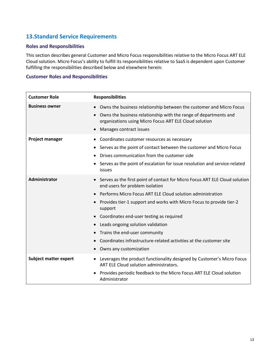## <span id="page-12-0"></span>**13.Standard Service Requirements**

## **Roles and Responsibilities**

This section describes general Customer and Micro Focus responsibilities relative to the Micro Focus ART ELE Cloud solution. Micro Focus's ability to fulfill its responsibilities relative to SaaS is dependent upon Customer fulfilling the responsibilities described below and elsewhere herein:

#### **Customer Roles and Responsibilities**

| <b>Customer Role</b>         | <b>Responsibilities</b>                                                                                                                                                                                                                                                                                                                                                                                                                                                               |
|------------------------------|---------------------------------------------------------------------------------------------------------------------------------------------------------------------------------------------------------------------------------------------------------------------------------------------------------------------------------------------------------------------------------------------------------------------------------------------------------------------------------------|
| <b>Business owner</b>        | • Owns the business relationship between the customer and Micro Focus<br>Owns the business relationship with the range of departments and<br>organizations using Micro Focus ART ELE Cloud solution<br>• Manages contract issues                                                                                                                                                                                                                                                      |
| Project manager              | Coordinates customer resources as necessary<br>Serves as the point of contact between the customer and Micro Focus<br>$\bullet$<br>Drives communication from the customer side<br>• Serves as the point of escalation for issue resolution and service-related<br>issues                                                                                                                                                                                                              |
| <b>Administrator</b>         | • Serves as the first point of contact for Micro Focus ART ELE Cloud solution<br>end users for problem isolation<br>Performs Micro Focus ART ELE Cloud solution administration<br>Provides tier-1 support and works with Micro Focus to provide tier-2<br>support<br>Coordinates end-user testing as required<br>Leads ongoing solution validation<br>Trains the end-user community<br>Coordinates infrastructure-related activities at the customer site<br>• Owns any customization |
| <b>Subject matter expert</b> | Leverages the product functionality designed by Customer's Micro Focus<br>$\bullet$<br>ART ELE Cloud solution administrators.<br>Provides periodic feedback to the Micro Focus ART ELE Cloud solution<br>Administrator                                                                                                                                                                                                                                                                |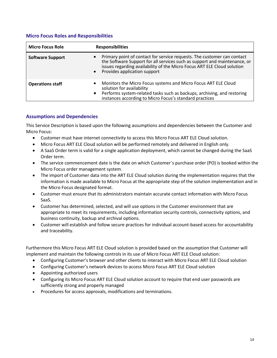## **Micro Focus Roles and Responsibilities**

| <b>Micro Focus Role</b> | <b>Responsibilities</b>                                                                                                                                                                                                                                                        |
|-------------------------|--------------------------------------------------------------------------------------------------------------------------------------------------------------------------------------------------------------------------------------------------------------------------------|
| <b>Software Support</b> | Primary point of contact for service requests. The customer can contact<br>$\bullet$<br>the Software Support for all services such as support and maintenance, or<br>issues regarding availability of the Micro Focus ART ELE Cloud solution<br>• Provides application support |
| <b>Operations staff</b> | Monitors the Micro Focus systems and Micro Focus ART ELE Cloud<br>$\bullet$<br>solution for availability<br>• Performs system-related tasks such as backups, archiving, and restoring<br>instances according to Micro Focus's standard practices                               |

## **Assumptions and Dependencies**

This Service Description is based upon the following assumptions and dependencies between the Customer and Micro Focus:

- Customer must have internet connectivity to access this Micro Focus ART ELE Cloud solution.
- Micro Focus ART ELE Cloud solution will be performed remotely and delivered in English only.
- A SaaS Order term is valid for a single application deployment, which cannot be changed during the SaaS Order term.
- The service commencement date is the date on which Customer´s purchase order (PO) is booked within the Micro Focus order management system.
- The import of Customer data into the ART ELE Cloud solution during the implementation requires that the information is made available to Micro Focus at the appropriate step of the solution implementation and in the Micro Focus designated format.
- Customer must ensure that its administrators maintain accurate contact information with Micro Focus SaaS.
- Customer has determined, selected, and will use options in the Customer environment that are appropriate to meet its requirements, including information security controls, connectivity options, and business continuity, backup and archival options.
- Customer will establish and follow secure practices for individual account-based access for accountability and traceability.

Furthermore this Micro Focus ART ELE Cloud solution is provided based on the assumption that Customer will implement and maintain the following controls in its use of Micro Focus ART ELE Cloud solution:

- Configuring Customer's browser and other clients to interact with Micro Focus ART ELE Cloud solution
- Configuring Customer's network devices to access Micro Focus ART ELE Cloud solution
- Appointing authorized users
- Configuring its Micro Focus ART ELE Cloud solution account to require that end user passwords are sufficiently strong and properly managed
- Procedures for access approvals, modifications and terminations.